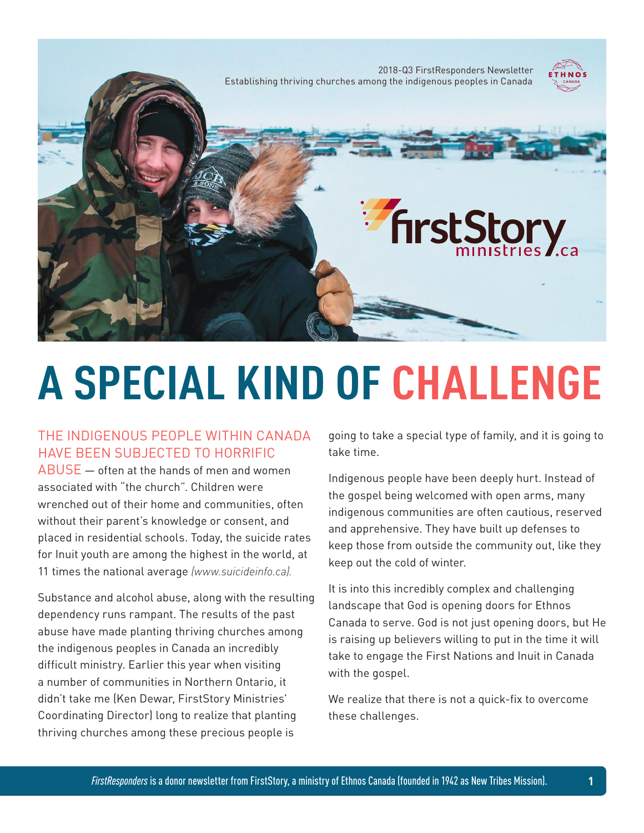

# **A SPECIAL KIND OF CHALLENGE**

#### THE INDIGENOUS PEOPLE WITHIN CANADA HAVE BEEN SUBJECTED TO HORRIFIC

ABUSE — often at the hands of men and women associated with "the church". Children were wrenched out of their home and communities, often without their parent's knowledge or consent, and placed in residential schools. Today, the suicide rates for Inuit youth are among the highest in the world, at 11 times the national average *(www.suicideinfo.ca).*

Substance and alcohol abuse, along with the resulting dependency runs rampant. The results of the past abuse have made planting thriving churches among the indigenous peoples in Canada an incredibly difficult ministry. Earlier this year when visiting a number of communities in Northern Ontario, it didn't take me (Ken Dewar, FirstStory Ministries' Coordinating Director) long to realize that planting thriving churches among these precious people is

going to take a special type of family, and it is going to take time.

Indigenous people have been deeply hurt. Instead of the gospel being welcomed with open arms, many indigenous communities are often cautious, reserved and apprehensive. They have built up defenses to keep those from outside the community out, like they keep out the cold of winter.

It is into this incredibly complex and challenging landscape that God is opening doors for Ethnos Canada to serve. God is not just opening doors, but He is raising up believers willing to put in the time it will take to engage the First Nations and Inuit in Canada with the gospel.

We realize that there is not a quick-fix to overcome these challenges.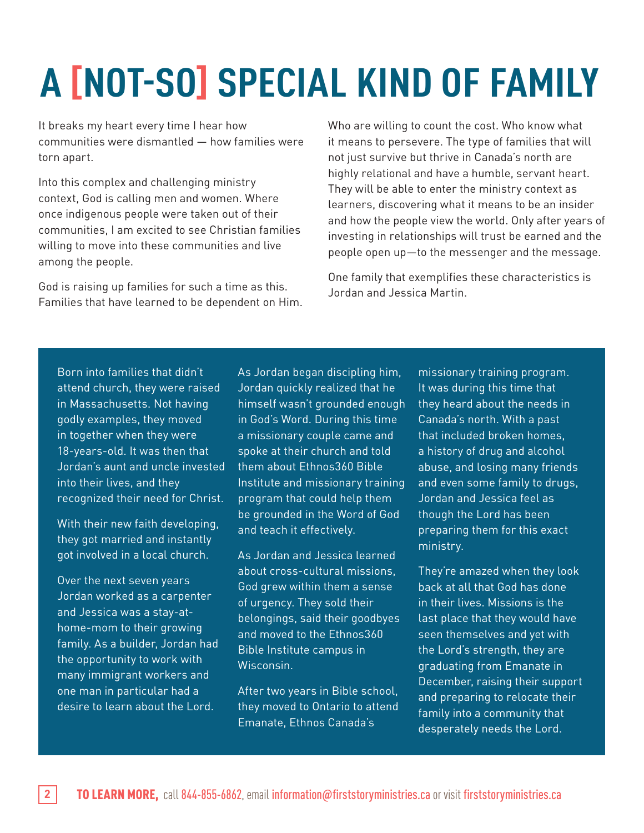## **A [NOT-SO] SPECIAL KIND OF FAMILY**

It breaks my heart every time I hear how communities were dismantled — how families were torn apart.

Into this complex and challenging ministry context, God is calling men and women. Where once indigenous people were taken out of their communities, I am excited to see Christian families willing to move into these communities and live among the people.

God is raising up families for such a time as this. Families that have learned to be dependent on Him. Who are willing to count the cost. Who know what it means to persevere. The type of families that will not just survive but thrive in Canada's north are highly relational and have a humble, servant heart. They will be able to enter the ministry context as learners, discovering what it means to be an insider and how the people view the world. Only after years of investing in relationships will trust be earned and the people open up—to the messenger and the message.

One family that exemplifies these characteristics is Jordan and Jessica Martin.

Born into families that didn't attend church, they were raised in Massachusetts. Not having godly examples, they moved in together when they were 18-years-old. It was then that Jordan's aunt and uncle invested into their lives, and they recognized their need for Christ.

With their new faith developing, they got married and instantly got involved in a local church.

Over the next seven years Jordan worked as a carpenter and Jessica was a stay-athome-mom to their growing family. As a builder, Jordan had the opportunity to work with many immigrant workers and one man in particular had a desire to learn about the Lord.

As Jordan began discipling him, Jordan quickly realized that he himself wasn't grounded enough in God's Word. During this time a missionary couple came and spoke at their church and told them about Ethnos360 Bible Institute and missionary training program that could help them be grounded in the Word of God and teach it effectively.

As Jordan and Jessica learned about cross-cultural missions, God grew within them a sense of urgency. They sold their belongings, said their goodbyes and moved to the Ethnos360 Bible Institute campus in Wisconsin.

After two years in Bible school, they moved to Ontario to attend Emanate, Ethnos Canada's

missionary training program. It was during this time that they heard about the needs in Canada's north. With a past that included broken homes, a history of drug and alcohol abuse, and losing many friends and even some family to drugs, Jordan and Jessica feel as though the Lord has been preparing them for this exact ministry.

They're amazed when they look back at all that God has done in their lives. Missions is the last place that they would have seen themselves and yet with the Lord's strength, they are graduating from Emanate in December, raising their support and preparing to relocate their family into a community that desperately needs the Lord.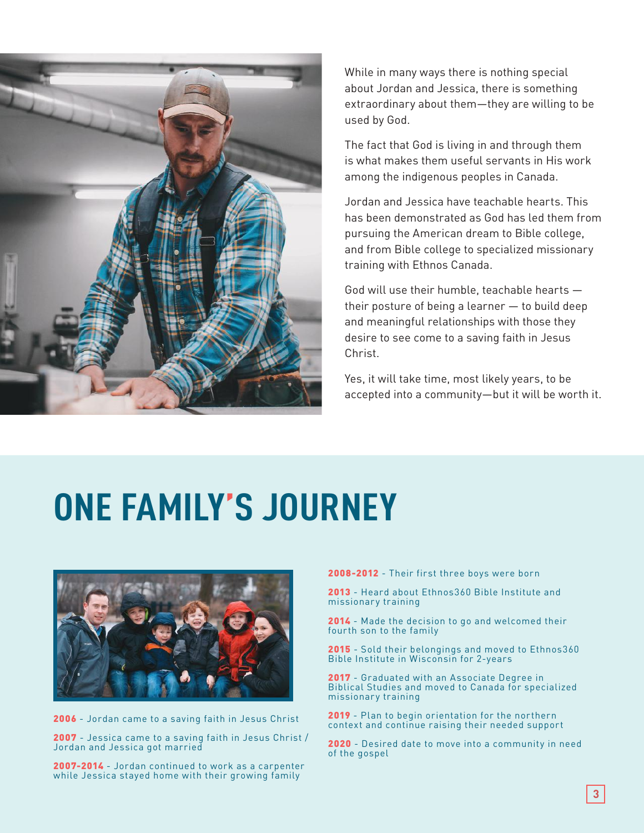

While in many ways there is nothing special about Jordan and Jessica, there is something extraordinary about them—they are willing to be used by God.

The fact that God is living in and through them is what makes them useful servants in His work among the indigenous peoples in Canada.

Jordan and Jessica have teachable hearts. This has been demonstrated as God has led them from pursuing the American dream to Bible college, and from Bible college to specialized missionary training with Ethnos Canada.

God will use their humble, teachable hearts their posture of being a learner — to build deep and meaningful relationships with those they desire to see come to a saving faith in Jesus Christ.

Yes, it will take time, most likely years, to be accepted into a community—but it will be worth it.

### **ONE FAMILY'S JOURNEY**



2006 - Jordan came to a saving faith in Jesus Christ

2007 - Jessica came to a saving faith in Jesus Christ / Jordan and Jessica got married

2007-2014 - Jordan continued to work as a carpenter while Jessica stayed home with their growing family

2008-2012 - Their first three boys were born

2013 - Heard about Ethnos 360 Bible Institute and missionary training

2014 - Made the decision to go and welcomed their fourth son to the family

2015 - Sold their belongings and moved to Ethnos 360 Bible Institute in Wisconsin for 2-years

2017 - Graduated with an Associate Degree in Biblical Studies and moved to Canada for specialized missionary training

2019 - Plan to begin orientation for the northern context and continue raising their needed support

2020 - Desired date to move into a community in need of the gospel